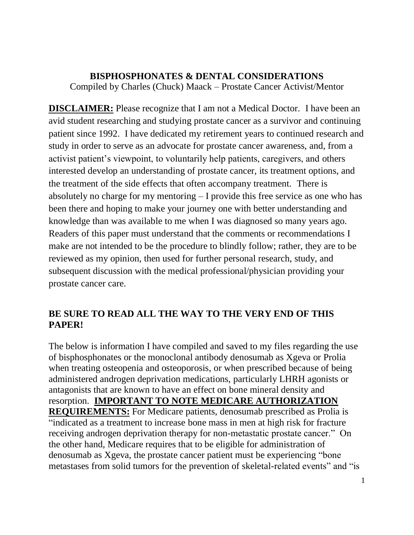## **BISPHOSPHONATES & DENTAL CONSIDERATIONS**

Compiled by Charles (Chuck) Maack – Prostate Cancer Activist/Mentor

**DISCLAIMER:** Please recognize that I am not a Medical Doctor. I have been an avid student researching and studying prostate cancer as a survivor and continuing patient since 1992. I have dedicated my retirement years to continued research and study in order to serve as an advocate for prostate cancer awareness, and, from a activist patient's viewpoint, to voluntarily help patients, caregivers, and others interested develop an understanding of prostate cancer, its treatment options, and the treatment of the side effects that often accompany treatment. There is absolutely no charge for my mentoring – I provide this free service as one who has been there and hoping to make your journey one with better understanding and knowledge than was available to me when I was diagnosed so many years ago. Readers of this paper must understand that the comments or recommendations I make are not intended to be the procedure to blindly follow; rather, they are to be reviewed as my opinion, then used for further personal research, study, and subsequent discussion with the medical professional/physician providing your prostate cancer care.

## **BE SURE TO READ ALL THE WAY TO THE VERY END OF THIS PAPER!**

The below is information I have compiled and saved to my files regarding the use of bisphosphonates or the monoclonal antibody denosumab as Xgeva or Prolia when treating osteopenia and osteoporosis, or when prescribed because of being administered androgen deprivation medications, particularly LHRH agonists or antagonists that are known to have an effect on bone mineral density and resorption. **IMPORTANT TO NOTE MEDICARE AUTHORIZATION REQUIREMENTS:** For Medicare patients, denosumab prescribed as Prolia is "indicated as a treatment to increase bone mass in men at high risk for fracture receiving androgen deprivation therapy for non-metastatic prostate cancer." On the other hand, Medicare requires that to be eligible for administration of denosumab as Xgeva, the prostate cancer patient must be experiencing "bone metastases from solid tumors for the prevention of skeletal-related events" and "is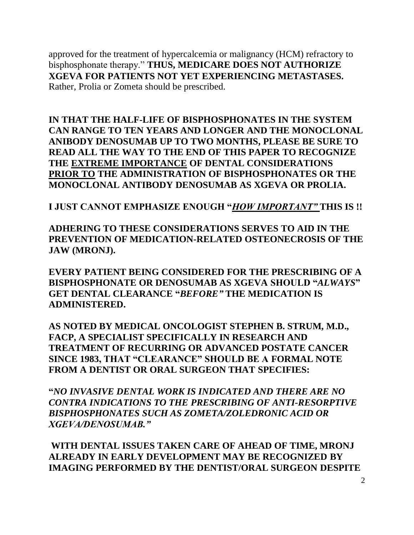approved for the treatment of hypercalcemia or malignancy (HCM) refractory to bisphosphonate therapy." **THUS, MEDICARE DOES NOT AUTHORIZE XGEVA FOR PATIENTS NOT YET EXPERIENCING METASTASES.**  Rather, Prolia or Zometa should be prescribed.

**IN THAT THE HALF-LIFE OF BISPHOSPHONATES IN THE SYSTEM CAN RANGE TO TEN YEARS AND LONGER AND THE MONOCLONAL ANIBODY DENOSUMAB UP TO TWO MONTHS, PLEASE BE SURE TO READ ALL THE WAY TO THE END OF THIS PAPER TO RECOGNIZE THE EXTREME IMPORTANCE OF DENTAL CONSIDERATIONS PRIOR TO THE ADMINISTRATION OF BISPHOSPHONATES OR THE MONOCLONAL ANTIBODY DENOSUMAB AS XGEVA OR PROLIA.**

**I JUST CANNOT EMPHASIZE ENOUGH "***HOW IMPORTANT"* **THIS IS !!**

**ADHERING TO THESE CONSIDERATIONS SERVES TO AID IN THE PREVENTION OF MEDICATION-RELATED OSTEONECROSIS OF THE JAW (MRONJ).** 

**EVERY PATIENT BEING CONSIDERED FOR THE PRESCRIBING OF A BISPHOSPHONATE OR DENOSUMAB AS XGEVA SHOULD "***ALWAYS***" GET DENTAL CLEARANCE "***BEFORE"* **THE MEDICATION IS ADMINISTERED.**

**AS NOTED BY MEDICAL ONCOLOGIST STEPHEN B. STRUM, M.D., FACP, A SPECIALIST SPECIFICALLY IN RESEARCH AND TREATMENT OF RECURRING OR ADVANCED POSTATE CANCER SINCE 1983, THAT "CLEARANCE" SHOULD BE A FORMAL NOTE FROM A DENTIST OR ORAL SURGEON THAT SPECIFIES:**

**"***NO INVASIVE DENTAL WORK IS INDICATED AND THERE ARE NO CONTRA INDICATIONS TO THE PRESCRIBING OF ANTI-RESORPTIVE BISPHOSPHONATES SUCH AS ZOMETA/ZOLEDRONIC ACID OR XGEVA/DENOSUMAB."* 

**WITH DENTAL ISSUES TAKEN CARE OF AHEAD OF TIME, MRONJ ALREADY IN EARLY DEVELOPMENT MAY BE RECOGNIZED BY IMAGING PERFORMED BY THE DENTIST/ORAL SURGEON DESPITE**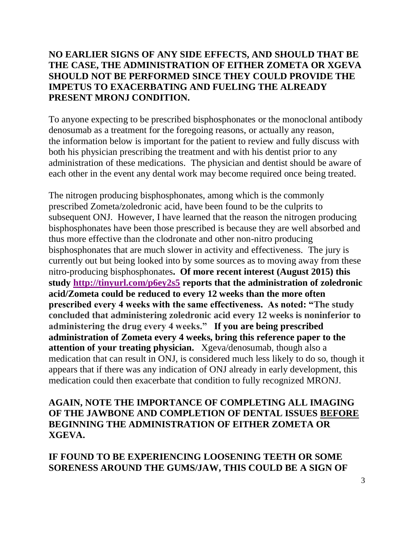## **NO EARLIER SIGNS OF ANY SIDE EFFECTS, AND SHOULD THAT BE THE CASE, THE ADMINISTRATION OF EITHER ZOMETA OR XGEVA SHOULD NOT BE PERFORMED SINCE THEY COULD PROVIDE THE IMPETUS TO EXACERBATING AND FUELING THE ALREADY PRESENT MRONJ CONDITION.**

To anyone expecting to be prescribed bisphosphonates or the monoclonal antibody denosumab as a treatment for the foregoing reasons, or actually any reason, the information below is important for the patient to review and fully discuss with both his physician prescribing the treatment and with his dentist prior to any administration of these medications. The physician and dentist should be aware of each other in the event any dental work may become required once being treated.

The nitrogen producing bisphosphonates, among which is the commonly prescribed Zometa/zoledronic acid, have been found to be the culprits to subsequent ONJ. However, I have learned that the reason the nitrogen producing bisphosphonates have been those prescribed is because they are well absorbed and thus more effective than the clodronate and other non-nitro producing bisphosphonates that are much slower in activity and effectiveness. The jury is currently out but being looked into by some sources as to moving away from these nitro-producing bisphosphonates**. Of more recent interest (August 2015) this study<http://tinyurl.com/p6ey2s5> reports that the administration of zoledronic acid/Zometa could be reduced to every 12 weeks than the more often prescribed every 4 weeks with the same effectiveness. As noted: "The study concluded that administering zoledronic acid every 12 weeks is noninferior to administering the drug every 4 weeks." If you are being prescribed administration of Zometa every 4 weeks, bring this reference paper to the attention of your treating physician.** Xgeva/denosumab, though also a medication that can result in ONJ, is considered much less likely to do so, though it appears that if there was any indication of ONJ already in early development, this medication could then exacerbate that condition to fully recognized MRONJ.

## **AGAIN, NOTE THE IMPORTANCE OF COMPLETING ALL IMAGING OF THE JAWBONE AND COMPLETION OF DENTAL ISSUES BEFORE BEGINNING THE ADMINISTRATION OF EITHER ZOMETA OR XGEVA.**

**IF FOUND TO BE EXPERIENCING LOOSENING TEETH OR SOME SORENESS AROUND THE GUMS/JAW, THIS COULD BE A SIGN OF**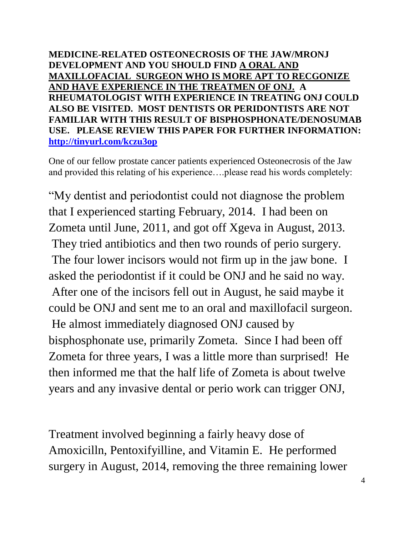**MEDICINE-RELATED OSTEONECROSIS OF THE JAW/MRONJ DEVELOPMENT AND YOU SHOULD FIND A ORAL AND MAXILLOFACIAL SURGEON WHO IS MORE APT TO RECGONIZE AND HAVE EXPERIENCE IN THE TREATMEN OF ONJ. A RHEUMATOLOGIST WITH EXPERIENCE IN TREATING ONJ COULD ALSO BE VISITED. MOST DENTISTS OR PERIDONTISTS ARE NOT FAMILIAR WITH THIS RESULT OF BISPHOSPHONATE/DENOSUMAB USE. PLEASE REVIEW THIS PAPER FOR FURTHER INFORMATION: <http://tinyurl.com/kczu3op>**

One of our fellow prostate cancer patients experienced Osteonecrosis of the Jaw and provided this relating of his experience….please read his words completely:

"My dentist and periodontist could not diagnose the problem that I experienced starting February, 2014. I had been on Zometa until June, 2011, and got off Xgeva in August, 2013. They tried antibiotics and then two rounds of perio surgery. The four lower incisors would not firm up in the jaw bone. I asked the periodontist if it could be ONJ and he said no way. After one of the incisors fell out in August, he said maybe it could be ONJ and sent me to an oral and maxillofacil surgeon. He almost immediately diagnosed ONJ caused by bisphosphonate use, primarily Zometa. Since I had been off Zometa for three years, I was a little more than surprised! He then informed me that the half life of Zometa is about twelve years and any invasive dental or perio work can trigger ONJ,

Treatment involved beginning a fairly heavy dose of Amoxicilln, Pentoxifyilline, and Vitamin E. He performed surgery in August, 2014, removing the three remaining lower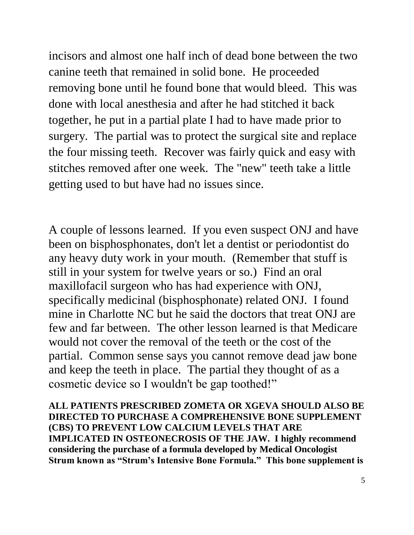incisors and almost one half inch of dead bone between the two canine teeth that remained in solid bone. He proceeded removing bone until he found bone that would bleed. This was done with local anesthesia and after he had stitched it back together, he put in a partial plate I had to have made prior to surgery. The partial was to protect the surgical site and replace the four missing teeth. Recover was fairly quick and easy with stitches removed after one week. The "new" teeth take a little getting used to but have had no issues since.

A couple of lessons learned. If you even suspect ONJ and have been on bisphosphonates, don't let a dentist or periodontist do any heavy duty work in your mouth. (Remember that stuff is still in your system for twelve years or so.) Find an oral maxillofacil surgeon who has had experience with ONJ, specifically medicinal (bisphosphonate) related ONJ. I found mine in Charlotte NC but he said the doctors that treat ONJ are few and far between. The other lesson learned is that Medicare would not cover the removal of the teeth or the cost of the partial. Common sense says you cannot remove dead jaw bone and keep the teeth in place. The partial they thought of as a cosmetic device so I wouldn't be gap toothed!"

**ALL PATIENTS PRESCRIBED ZOMETA OR XGEVA SHOULD ALSO BE DIRECTED TO PURCHASE A COMPREHENSIVE BONE SUPPLEMENT (CBS) TO PREVENT LOW CALCIUM LEVELS THAT ARE IMPLICATED IN OSTEONECROSIS OF THE JAW. I highly recommend considering the purchase of a formula developed by Medical Oncologist Strum known as "Strum's Intensive Bone Formula." This bone supplement is**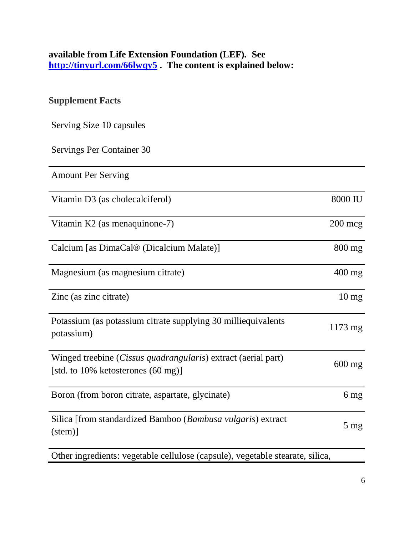## **available from Life Extension Foundation (LEF). See <http://tinyurl.com/66lwqy5> . The content is explained below:**

### **Supplement Facts**

Serving Size 10 capsules

Servings Per Container 30

Amount Per Serving

Vitamin D3 (as cholecalciferol) 8000 IU

Vitamin K2 (as menaquinone-7) 200 mcg

Calcium [as DimaCal® (Dicalcium Malate)] 800 mg

Magnesium (as magnesium citrate) 400 mg

Zinc (as zinc citrate) 10 mg

Potassium (as potassium citrate supplying 30 milliequivalents potassium) 1173 mg<br>potassium)

Winged treebine (*Cissus quadrangularis*) extract (aerial part) [std. to  $10\%$  ketosterones  $(60 \text{ mg})$ ] 600 mg

Boron (from boron citrate, aspartate, glycinate) 6 mg

Silica [from standardized Bamboo (*Bambusa vulgaris*) extract  $(\text{stem})$ ] 5 mg

Other ingredients: vegetable cellulose (capsule), vegetable stearate, silica,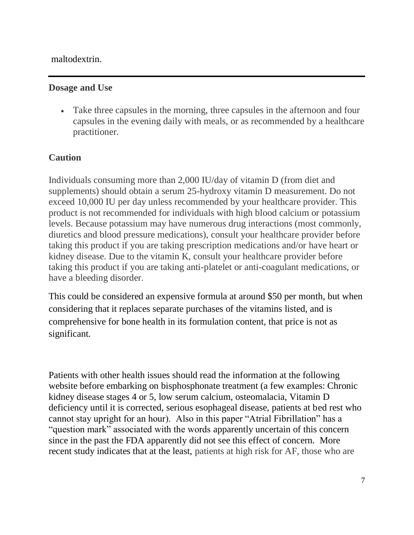#### maltodextrin.

### **Dosage and Use**

 Take three capsules in the morning, three capsules in the afternoon and four capsules in the evening daily with meals, or as recommended by a healthcare practitioner.

# **Caution**

Individuals consuming more than 2,000 IU/day of vitamin D (from diet and supplements) should obtain a serum 25-hydroxy vitamin D measurement. Do not exceed 10,000 IU per day unless recommended by your healthcare provider. This product is not recommended for individuals with high blood calcium or potassium levels. Because potassium may have numerous drug interactions (most commonly, diuretics and blood pressure medications), consult your healthcare provider before taking this product if you are taking prescription medications and/or have heart or kidney disease. Due to the vitamin K, consult your healthcare provider before taking this product if you are taking anti-platelet or anti-coagulant medications, or have a bleeding disorder.

This could be considered an expensive formula at around \$50 per month, but when considering that it replaces separate purchases of the vitamins listed, and is comprehensive for bone health in its formulation content, that price is not as significant.

Patients with other health issues should read the information at the following website before embarking on bisphosphonate treatment (a few examples: Chronic kidney disease stages 4 or 5, low serum calcium, osteomalacia, Vitamin D deficiency until it is corrected, serious esophageal disease, patients at bed rest who cannot stay upright for an hour). Also in this paper "Atrial Fibrillation" has a "question mark" associated with the words apparently uncertain of this concern since in the past the FDA apparently did not see this effect of concern. More recent study indicates that at the least, patients at high risk for AF, those who are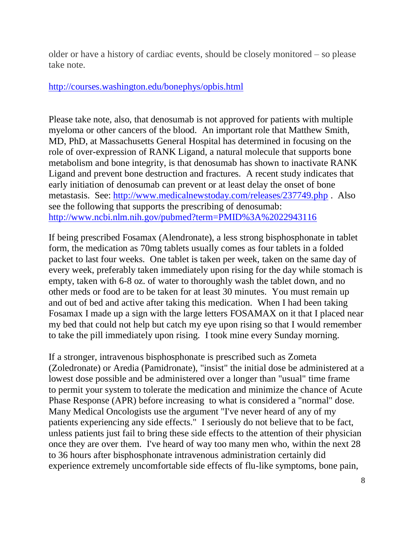older or have a history of cardiac events, should be closely monitored – so please take note.

<http://courses.washington.edu/bonephys/opbis.html>

Please take note, also, that denosumab is not approved for patients with multiple myeloma or other cancers of the blood. An important role that Matthew Smith, MD, PhD, at Massachusetts General Hospital has determined in focusing on the role of over-expression of RANK Ligand, a natural molecule that supports bone metabolism and bone integrity, is that denosumab has shown to inactivate RANK Ligand and prevent bone destruction and fractures. A recent study indicates that early initiation of denosumab can prevent or at least delay the onset of bone metastasis. See:<http://www.medicalnewstoday.com/releases/237749.php> . Also see the following that supports the prescribing of denosumab: <http://www.ncbi.nlm.nih.gov/pubmed?term=PMID%3A%2022943116>

If being prescribed Fosamax (Alendronate), a less strong bisphosphonate in tablet form, the medication as 70mg tablets usually comes as four tablets in a folded packet to last four weeks. One tablet is taken per week, taken on the same day of every week, preferably taken immediately upon rising for the day while stomach is empty, taken with 6-8 oz. of water to thoroughly wash the tablet down, and no other meds or food are to be taken for at least 30 minutes. You must remain up and out of bed and active after taking this medication. When I had been taking Fosamax I made up a sign with the large letters FOSAMAX on it that I placed near my bed that could not help but catch my eye upon rising so that I would remember to take the pill immediately upon rising. I took mine every Sunday morning.

If a stronger, intravenous bisphosphonate is prescribed such as Zometa (Zoledronate) or Aredia (Pamidronate), "insist" the initial dose be administered at a lowest dose possible and be administered over a longer than "usual" time frame to permit your system to tolerate the medication and minimize the chance of Acute Phase Response (APR) before increasing to what is considered a "normal" dose. Many Medical Oncologists use the argument "I've never heard of any of my patients experiencing any side effects." I seriously do not believe that to be fact, unless patients just fail to bring these side effects to the attention of their physician once they are over them. I've heard of way too many men who, within the next 28 to 36 hours after bisphosphonate intravenous administration certainly did experience extremely uncomfortable side effects of flu-like symptoms, bone pain,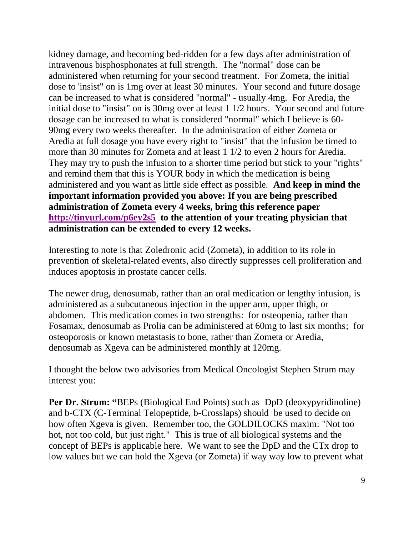kidney damage, and becoming bed-ridden for a few days after administration of intravenous bisphosphonates at full strength. The "normal" dose can be administered when returning for your second treatment. For Zometa, the initial dose to 'insist" on is 1mg over at least 30 minutes. Your second and future dosage can be increased to what is considered "normal" - usually 4mg. For Aredia, the initial dose to "insist" on is 30mg over at least 1 1/2 hours. Your second and future dosage can be increased to what is considered "normal" which I believe is 60- 90mg every two weeks thereafter. In the administration of either Zometa or Aredia at full dosage you have every right to "insist" that the infusion be timed to more than 30 minutes for Zometa and at least 1 1/2 to even 2 hours for Aredia. They may try to push the infusion to a shorter time period but stick to your "rights" and remind them that this is YOUR body in which the medication is being administered and you want as little side effect as possible. **And keep in mind the important information provided you above: If you are being prescribed administration of Zometa every 4 weeks, bring this reference paper <http://tinyurl.com/p6ey2s5>to the attention of your treating physician that administration can be extended to every 12 weeks.**

Interesting to note is that Zoledronic acid (Zometa), in addition to its role in prevention of skeletal-related events, also directly suppresses cell proliferation and induces apoptosis in prostate cancer cells.

The newer drug, denosumab, rather than an oral medication or lengthy infusion, is administered as a subcutaneous injection in the upper arm, upper thigh, or abdomen. This medication comes in two strengths: for osteopenia, rather than Fosamax, denosumab as Prolia can be administered at 60mg to last six months; for osteoporosis or known metastasis to bone, rather than Zometa or Aredia, denosumab as Xgeva can be administered monthly at 120mg.

I thought the below two advisories from Medical Oncologist Stephen Strum may interest you:

**Per Dr. Strum: "**BEPs (Biological End Points) such as DpD (deoxypyridinoline) and b-CTX (C-Terminal Telopeptide, b-Crosslaps) should be used to decide on how often Xgeva is given. Remember too, the GOLDILOCKS maxim: "Not too hot, not too cold, but just right." This is true of all biological systems and the concept of BEPs is applicable here. We want to see the DpD and the CTx drop to low values but we can hold the Xgeva (or Zometa) if way way low to prevent what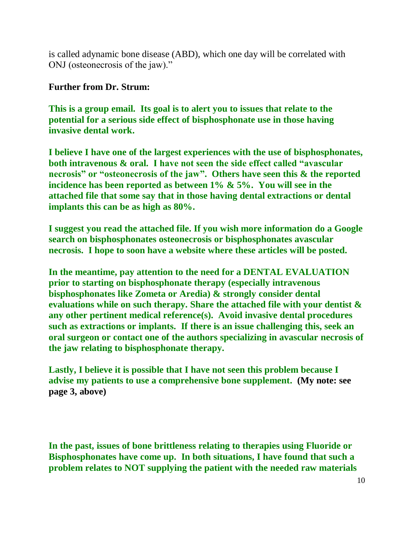is called adynamic bone disease (ABD), which one day will be correlated with ONJ (osteonecrosis of the jaw)."

## **Further from Dr. Strum:**

**This is a group email. Its goal is to alert you to issues that relate to the potential for a serious side effect of bisphosphonate use in those having invasive dental work.**

**I believe I have one of the largest experiences with the use of bisphosphonates, both intravenous & oral. I have not seen the side effect called "avascular necrosis" or "osteonecrosis of the jaw". Others have seen this & the reported incidence has been reported as between 1% & 5%. You will see in the attached file that some say that in those having dental extractions or dental implants this can be as high as 80%.** 

**I suggest you read the attached file. If you wish more information do a Google search on bisphosphonates osteonecrosis or bisphosphonates avascular necrosis. I hope to soon have a website where these articles will be posted.** 

**In the meantime, pay attention to the need for a DENTAL EVALUATION prior to starting on bisphosphonate therapy (especially intravenous bisphosphonates like Zometa or Aredia) & strongly consider dental evaluations while on such therapy. Share the attached file with your dentist & any other pertinent medical reference(s). Avoid invasive dental procedures such as extractions or implants. If there is an issue challenging this, seek an oral surgeon or contact one of the authors specializing in avascular necrosis of the jaw relating to bisphosphonate therapy.** 

**Lastly, I believe it is possible that I have not seen this problem because I advise my patients to use a comprehensive bone supplement. (My note: see page 3, above)**

**In the past, issues of bone brittleness relating to therapies using Fluoride or Bisphosphonates have come up. In both situations, I have found that such a problem relates to NOT supplying the patient with the needed raw materials**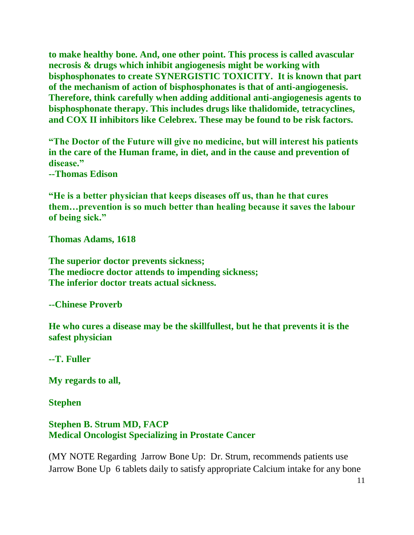**to make healthy bone. And, one other point. This process is called avascular necrosis & drugs which inhibit angiogenesis might be working with bisphosphonates to create SYNERGISTIC TOXICITY. It is known that part of the mechanism of action of bisphosphonates is that of anti-angiogenesis. Therefore, think carefully when adding additional anti-angiogenesis agents to bisphosphonate therapy. This includes drugs like thalidomide, tetracyclines, and COX II inhibitors like Celebrex. These may be found to be risk factors.** 

**"The Doctor of the Future will give no medicine, but will interest his patients in the care of the Human frame, in diet, and in the cause and prevention of disease."** 

**--Thomas Edison**

**"He is a better physician that keeps diseases off us, than he that cures them…prevention is so much better than healing because it saves the labour of being sick."**

**Thomas Adams, 1618**

**The superior doctor prevents sickness; The mediocre doctor attends to impending sickness; The inferior doctor treats actual sickness.**

**--Chinese Proverb**

**He who cures a disease may be the skillfullest, but he that prevents it is the safest physician**

**--T. Fuller**

**My regards to all,** 

**Stephen** 

### **Stephen B. Strum MD, FACP Medical Oncologist Specializing in Prostate Cancer**

(MY NOTE Regarding Jarrow Bone Up: Dr. Strum, recommends patients use Jarrow Bone Up 6 tablets daily to satisfy appropriate Calcium intake for any bone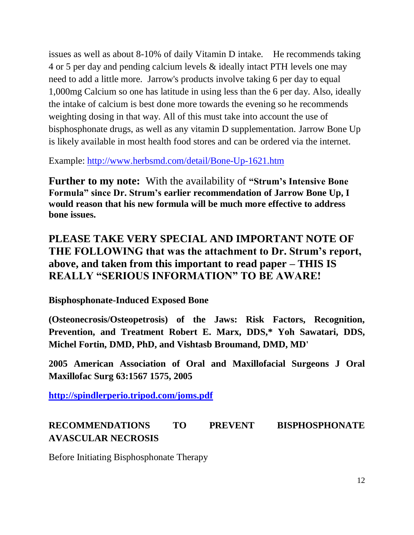issues as well as about 8-10% of daily Vitamin D intake. He recommends taking 4 or 5 per day and pending calcium levels & ideally intact PTH levels one may need to add a little more. Jarrow's products involve taking 6 per day to equal 1,000mg Calcium so one has latitude in using less than the 6 per day. Also, ideally the intake of calcium is best done more towards the evening so he recommends weighting dosing in that way. All of this must take into account the use of bisphosphonate drugs, as well as any vitamin D supplementation. Jarrow Bone Up is likely available in most health food stores and can be ordered via the internet.

Example:<http://www.herbsmd.com/detail/Bone-Up-1621.htm>

**Further to my note:** With the availability of **"Strum's Intensive Bone Formula" since Dr. Strum's earlier recommendation of Jarrow Bone Up, I would reason that his new formula will be much more effective to address bone issues.**

**PLEASE TAKE VERY SPECIAL AND IMPORTANT NOTE OF THE FOLLOWING that was the attachment to Dr. Strum's report, above, and taken from this important to read paper – THIS IS REALLY "SERIOUS INFORMATION" TO BE AWARE!**

**Bisphosphonate-Induced Exposed Bone** 

**(Osteonecrosis/Osteopetrosis) of the Jaws: Risk Factors, Recognition, Prevention, and Treatment Robert E. Marx, DDS,\* Yoh Sawatari, DDS, Michel Fortin, DMD, PhD, and Vishtasb Broumand, DMD, MD'**

**2005 American Association of Oral and Maxillofacial Surgeons J Oral Maxillofac Surg 63:1567 1575, 2005**

**<http://spindlerperio.tripod.com/joms.pdf>**

# **RECOMMENDATIONS TO PREVENT BISPHOSPHONATE AVASCULAR NECROSIS**

Before Initiating Bisphosphonate Therapy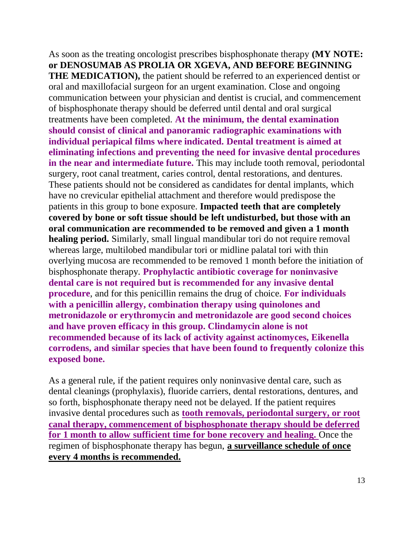As soon as the treating oncologist prescribes bisphosphonate therapy **(MY NOTE: or DENOSUMAB AS PROLIA OR XGEVA, AND BEFORE BEGINNING THE MEDICATION), the patient should be referred to an experienced dentist or** oral and maxillofacial surgeon for an urgent examination. Close and ongoing communication between your physician and dentist is crucial, and commencement of bisphosphonate therapy should be deferred until dental and oral surgical treatments have been completed. **At the minimum, the dental examination should consist of clinical and panoramic radiographic examinations with individual periapical films where indicated. Dental treatment is aimed at eliminating infections and preventing the need for invasive dental procedures in the near and intermediate future.** This may include tooth removal, periodontal surgery, root canal treatment, caries control, dental restorations, and dentures. These patients should not be considered as candidates for dental implants, which have no crevicular epithelial attachment and therefore would predispose the patients in this group to bone exposure. **Impacted teeth that are completely covered by bone or soft tissue should be left undisturbed, but those with an oral communication are recommended to be removed and given a 1 month healing period.** Similarly, small lingual mandibular tori do not require removal whereas large, multilobed mandibular tori or midline palatal tori with thin overlying mucosa are recommended to be removed 1 month before the initiation of bisphosphonate therapy. **Prophylactic antibiotic coverage for noninvasive dental care is not required but is recommended for any invasive dental procedure**, and for this penicillin remains the drug of choice. **For individuals with a penicillin allergy, combination therapy using quinolones and metronidazole or erythromycin and metronidazole are good second choices and have proven efficacy in this group. Clindamycin alone is not recommended because of its lack of activity against actinomyces, Eikenella corrodens, and similar species that have been found to frequently colonize this exposed bone.**

As a general rule, if the patient requires only noninvasive dental care, such as dental cleanings (prophylaxis), fluoride carriers, dental restorations, dentures, and so forth, bisphosphonate therapy need not be delayed. If the patient requires invasive dental procedures such as **tooth removals, periodontal surgery, or root canal therapy, commencement of bisphosphonate therapy should be deferred for 1 month to allow sufficient time for bone recovery and healing.** Once the regimen of bisphosphonate therapy has begun, **a surveillance schedule of once every 4 months is recommended.**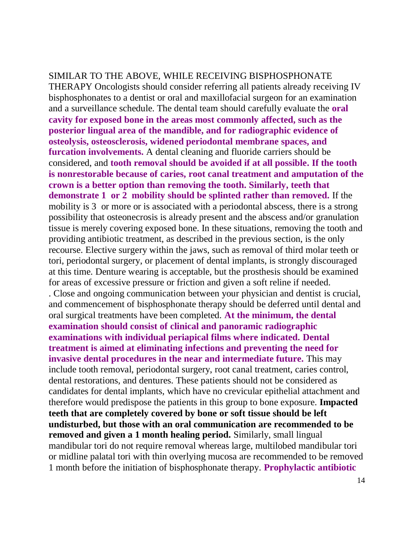#### SIMILAR TO THE ABOVE, WHILE RECEIVING BISPHOSPHONATE

THERAPY Oncologists should consider referring all patients already receiving IV bisphosphonates to a dentist or oral and maxillofacial surgeon for an examination and a surveillance schedule. The dental team should carefully evaluate the **oral cavity for exposed bone in the areas most commonly affected, such as the posterior lingual area of the mandible, and for radiographic evidence of osteolysis, osteosclerosis, widened periodontal membrane spaces, and furcation involvements.** A dental cleaning and fluoride carriers should be considered, and **tooth removal should be avoided if at all possible. If the tooth is nonrestorable because of caries, root canal treatment and amputation of the crown is a better option than removing the tooth. Similarly, teeth that demonstrate 1 or 2 mobility should be splinted rather than removed.** If the mobility is 3 or more or is associated with a periodontal abscess, there is a strong possibility that osteonecrosis is already present and the abscess and/or granulation tissue is merely covering exposed bone. In these situations, removing the tooth and providing antibiotic treatment, as described in the previous section, is the only recourse. Elective surgery within the jaws, such as removal of third molar teeth or tori, periodontal surgery, or placement of dental implants, is strongly discouraged at this time. Denture wearing is acceptable, but the prosthesis should be examined for areas of excessive pressure or friction and given a soft reline if needed. . Close and ongoing communication between your physician and dentist is crucial, and commencement of bisphosphonate therapy should be deferred until dental and oral surgical treatments have been completed. **At the minimum, the dental examination should consist of clinical and panoramic radiographic examinations with individual periapical films where indicated. Dental treatment is aimed at eliminating infections and preventing the need for invasive dental procedures in the near and intermediate future.** This may include tooth removal, periodontal surgery, root canal treatment, caries control, dental restorations, and dentures. These patients should not be considered as candidates for dental implants, which have no crevicular epithelial attachment and therefore would predispose the patients in this group to bone exposure. **Impacted teeth that are completely covered by bone or soft tissue should be left undisturbed, but those with an oral communication are recommended to be removed and given a 1 month healing period.** Similarly, small lingual mandibular tori do not require removal whereas large, multilobed mandibular tori or midline palatal tori with thin overlying mucosa are recommended to be removed 1 month before the initiation of bisphosphonate therapy. **Prophylactic antibiotic**